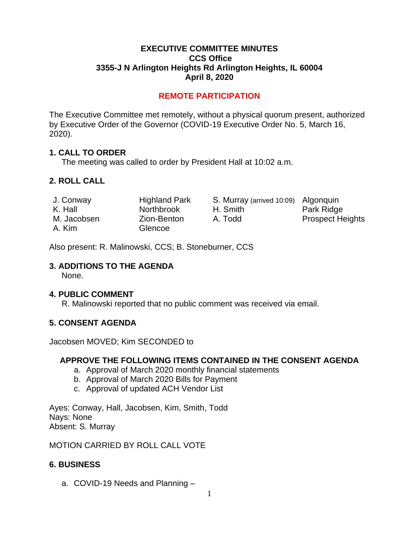### **EXECUTIVE COMMITTEE MINUTES CCS Office 3355-J N Arlington Heights Rd Arlington Heights, IL 60004 April 8, 2020**

# **REMOTE PARTICIPATION**

The Executive Committee met remotely, without a physical quorum present, authorized by Executive Order of the Governor (COVID-19 Executive Order No. 5, March 16, 2020).

### **1. CALL TO ORDER**

The meeting was called to order by President Hall at 10:02 a.m.

# **2. ROLL CALL**

| J. Conway   | <b>Highland Park</b> | S. Murray (arrived 10:09) Algonquin |                         |
|-------------|----------------------|-------------------------------------|-------------------------|
| K. Hall     | <b>Northbrook</b>    | H. Smith                            | Park Ridge              |
| M. Jacobsen | Zion-Benton          | A. Todd                             | <b>Prospect Heights</b> |
| A. Kim      | Glencoe              |                                     |                         |

Also present: R. Malinowski, CCS; B. Stoneburner, CCS

#### **3. ADDITIONS TO THE AGENDA**

None.

#### **4. PUBLIC COMMENT**

R. Malinowski reported that no public comment was received via email.

### **5. CONSENT AGENDA**

Jacobsen MOVED; Kim SECONDED to

#### **APPROVE THE FOLLOWING ITEMS CONTAINED IN THE CONSENT AGENDA**

- a. Approval of March 2020 monthly financial statements
- b. Approval of March 2020 Bills for Payment
- c. Approval of updated ACH Vendor List

Ayes: Conway, Hall, Jacobsen, Kim, Smith, Todd Nays: None Absent: S. Murray

MOTION CARRIED BY ROLL CALL VOTE

## **6. BUSINESS**

a. COVID-19 Needs and Planning –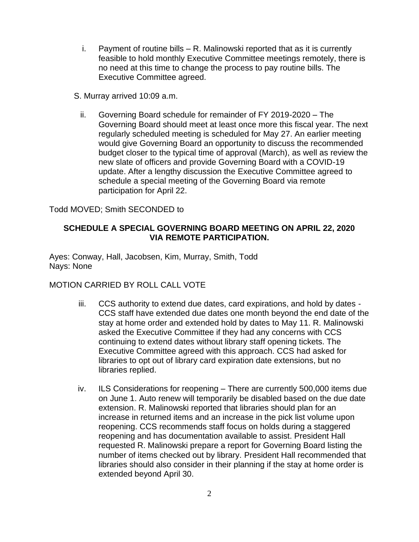- i. Payment of routine bills R. Malinowski reported that as it is currently feasible to hold monthly Executive Committee meetings remotely, there is no need at this time to change the process to pay routine bills. The Executive Committee agreed.
- S. Murray arrived 10:09 a.m.
	- ii. Governing Board schedule for remainder of FY 2019-2020 The Governing Board should meet at least once more this fiscal year. The next regularly scheduled meeting is scheduled for May 27. An earlier meeting would give Governing Board an opportunity to discuss the recommended budget closer to the typical time of approval (March), as well as review the new slate of officers and provide Governing Board with a COVID-19 update. After a lengthy discussion the Executive Committee agreed to schedule a special meeting of the Governing Board via remote participation for April 22.

Todd MOVED; Smith SECONDED to

## **SCHEDULE A SPECIAL GOVERNING BOARD MEETING ON APRIL 22, 2020 VIA REMOTE PARTICIPATION.**

Ayes: Conway, Hall, Jacobsen, Kim, Murray, Smith, Todd Nays: None

### MOTION CARRIED BY ROLL CALL VOTE

- iii. CCS authority to extend due dates, card expirations, and hold by dates CCS staff have extended due dates one month beyond the end date of the stay at home order and extended hold by dates to May 11. R. Malinowski asked the Executive Committee if they had any concerns with CCS continuing to extend dates without library staff opening tickets. The Executive Committee agreed with this approach. CCS had asked for libraries to opt out of library card expiration date extensions, but no libraries replied.
- iv. ILS Considerations for reopening There are currently 500,000 items due on June 1. Auto renew will temporarily be disabled based on the due date extension. R. Malinowski reported that libraries should plan for an increase in returned items and an increase in the pick list volume upon reopening. CCS recommends staff focus on holds during a staggered reopening and has documentation available to assist. President Hall requested R. Malinowski prepare a report for Governing Board listing the number of items checked out by library. President Hall recommended that libraries should also consider in their planning if the stay at home order is extended beyond April 30.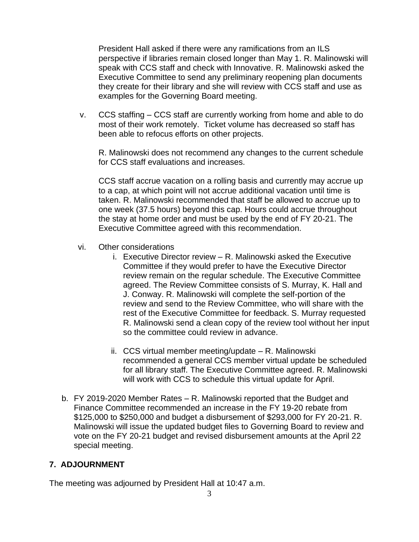President Hall asked if there were any ramifications from an ILS perspective if libraries remain closed longer than May 1. R. Malinowski will speak with CCS staff and check with Innovative. R. Malinowski asked the Executive Committee to send any preliminary reopening plan documents they create for their library and she will review with CCS staff and use as examples for the Governing Board meeting.

v. CCS staffing – CCS staff are currently working from home and able to do most of their work remotely. Ticket volume has decreased so staff has been able to refocus efforts on other projects.

R. Malinowski does not recommend any changes to the current schedule for CCS staff evaluations and increases.

CCS staff accrue vacation on a rolling basis and currently may accrue up to a cap, at which point will not accrue additional vacation until time is taken. R. Malinowski recommended that staff be allowed to accrue up to one week (37.5 hours) beyond this cap. Hours could accrue throughout the stay at home order and must be used by the end of FY 20-21. The Executive Committee agreed with this recommendation.

- vi. Other considerations
	- i. Executive Director review R. Malinowski asked the Executive Committee if they would prefer to have the Executive Director review remain on the regular schedule. The Executive Committee agreed. The Review Committee consists of S. Murray, K. Hall and J. Conway. R. Malinowski will complete the self-portion of the review and send to the Review Committee, who will share with the rest of the Executive Committee for feedback. S. Murray requested R. Malinowski send a clean copy of the review tool without her input so the committee could review in advance.
	- ii. CCS virtual member meeting/update R. Malinowski recommended a general CCS member virtual update be scheduled for all library staff. The Executive Committee agreed. R. Malinowski will work with CCS to schedule this virtual update for April.
- b. FY 2019-2020 Member Rates R. Malinowski reported that the Budget and Finance Committee recommended an increase in the FY 19-20 rebate from \$125,000 to \$250,000 and budget a disbursement of \$293,000 for FY 20-21. R. Malinowski will issue the updated budget files to Governing Board to review and vote on the FY 20-21 budget and revised disbursement amounts at the April 22 special meeting.

### **7. ADJOURNMENT**

The meeting was adjourned by President Hall at 10:47 a.m.